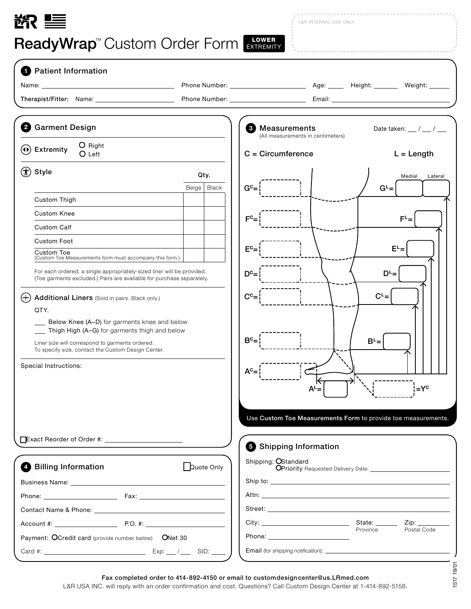## 欲 三

**ReadyWrap<sup>™</sup> Custom Order Form EXTREMITY** 

L&R INTERNAL USE ONLY

| <b>1</b> Patient Information                                                                                                                                                                                                   |                                 |                                                                                                                                                                                                                                |                                           |
|--------------------------------------------------------------------------------------------------------------------------------------------------------------------------------------------------------------------------------|---------------------------------|--------------------------------------------------------------------------------------------------------------------------------------------------------------------------------------------------------------------------------|-------------------------------------------|
|                                                                                                                                                                                                                                |                                 |                                                                                                                                                                                                                                |                                           |
|                                                                                                                                                                                                                                |                                 | Email: Email: Email: Email: Email: Email: Email: Email: Email: Email: Email: Email: Email: Email: Email: Email: Email: Email: Email: Email: Email: Email: Email: Email: Email: Email: Email: Email: Email: Email: Email: Email |                                           |
| 2 Garment Design                                                                                                                                                                                                               |                                 | <b>3</b> Measurements<br>(All measurements in centimeters)                                                                                                                                                                     | Date taken: $\frac{1}{2}$ / $\frac{1}{2}$ |
| O Right<br>$(4)$ Extremity<br>O Left                                                                                                                                                                                           |                                 | $C = Circumference$                                                                                                                                                                                                            | $L = Length$                              |
| $\left(\boldsymbol{\dagger}\right)$ Style                                                                                                                                                                                      | Qty.                            |                                                                                                                                                                                                                                | Medial<br>Lateral                         |
|                                                                                                                                                                                                                                | Beige   Black<br>G <sub>c</sub> |                                                                                                                                                                                                                                | $G^L =$                                   |
| Custom Thigh                                                                                                                                                                                                                   |                                 |                                                                                                                                                                                                                                |                                           |
| <b>Custom Knee</b>                                                                                                                                                                                                             | $F^{\rm c}$ =                   |                                                                                                                                                                                                                                | $\mathsf{F}^\mathsf{L}$ =                 |
| <b>Custom Calf</b>                                                                                                                                                                                                             |                                 |                                                                                                                                                                                                                                |                                           |
| <b>Custom Foot</b>                                                                                                                                                                                                             |                                 |                                                                                                                                                                                                                                |                                           |
| Custom Toe<br>(Custom Toe Measurements form must accompany this form.)                                                                                                                                                         | E <sup>c</sup>                  |                                                                                                                                                                                                                                | $E^L =$                                   |
| For each ordered, a single appropriately-sized liner will be provided.<br>(Toe garments excluded.) Pairs are available for purchase separately.                                                                                | D <sub>c</sub>                  |                                                                                                                                                                                                                                | $D^L =$                                   |
| $^{(+)}$<br>Additional Liners (Sold in pairs. Black only.)                                                                                                                                                                     | $C^c=$                          |                                                                                                                                                                                                                                | $C^L =$                                   |
| QTY.                                                                                                                                                                                                                           |                                 |                                                                                                                                                                                                                                |                                           |
| Below Knee (A-D) for garments knee and below                                                                                                                                                                                   |                                 |                                                                                                                                                                                                                                |                                           |
| __ Thigh High (A-G) for garments thigh and below                                                                                                                                                                               | $B^c=$                          | $B^L =$                                                                                                                                                                                                                        |                                           |
| Liner size will correspond to garments ordered.<br>To specify size, contact the Custom Design Center.                                                                                                                          |                                 |                                                                                                                                                                                                                                |                                           |
| Special Instructions:                                                                                                                                                                                                          |                                 |                                                                                                                                                                                                                                |                                           |
|                                                                                                                                                                                                                                | $A^c =$                         |                                                                                                                                                                                                                                |                                           |
|                                                                                                                                                                                                                                |                                 | A <sup>L</sup> =                                                                                                                                                                                                               | $=Yc$                                     |
|                                                                                                                                                                                                                                |                                 |                                                                                                                                                                                                                                |                                           |
|                                                                                                                                                                                                                                |                                 | Use Custom Toe Measurements Form to provide toe measurements.                                                                                                                                                                  |                                           |
|                                                                                                                                                                                                                                |                                 |                                                                                                                                                                                                                                |                                           |
|                                                                                                                                                                                                                                |                                 | Shipping Information                                                                                                                                                                                                           |                                           |
|                                                                                                                                                                                                                                |                                 | Shipping: OStandard                                                                                                                                                                                                            |                                           |
| 4 Billing Information                                                                                                                                                                                                          | Quote Only                      |                                                                                                                                                                                                                                |                                           |
| Business Name: The Contract of the Contract of the Contract of the Contract of the Contract of the Contract of the Contract of the Contract of the Contract of the Contract of the Contract of the Contract of the Contract of |                                 |                                                                                                                                                                                                                                |                                           |
|                                                                                                                                                                                                                                |                                 |                                                                                                                                                                                                                                |                                           |
|                                                                                                                                                                                                                                |                                 |                                                                                                                                                                                                                                |                                           |
|                                                                                                                                                                                                                                |                                 |                                                                                                                                                                                                                                |                                           |
|                                                                                                                                                                                                                                |                                 | Province                                                                                                                                                                                                                       | Postal Code                               |

L&R USA INC. will reply with an order confirmation and cost. Questions? Call Custom Design Center at 1-414-892-5158.